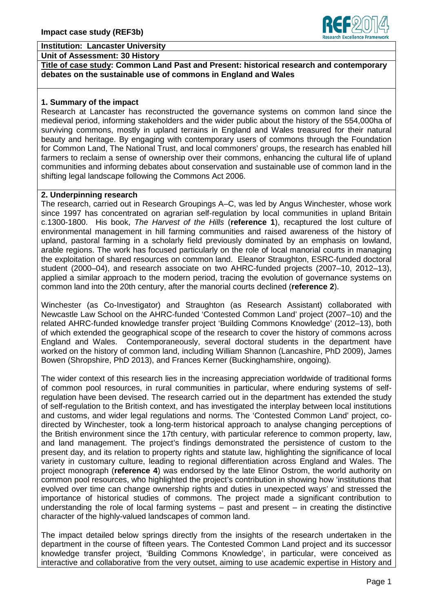#### **Institution: Lancaster University**

**Unit of Assessment: 30 History**

**Title of case study: Common Land Past and Present: historical research and contemporary debates on the sustainable use of commons in England and Wales**

# **1. Summary of the impact**

Research at Lancaster has reconstructed the governance systems on common land since the medieval period, informing stakeholders and the wider public about the history of the 554,000ha of surviving commons, mostly in upland terrains in England and Wales treasured for their natural beauty and heritage. By engaging with contemporary users of commons through the Foundation for Common Land, The National Trust, and local commoners' groups, the research has enabled hill farmers to reclaim a sense of ownership over their commons, enhancing the cultural life of upland communities and informing debates about conservation and sustainable use of common land in the shifting legal landscape following the Commons Act 2006.

### **2. Underpinning research**

The research, carried out in Research Groupings A–C, was led by Angus Winchester, whose work since 1997 has concentrated on agrarian self-regulation by local communities in upland Britain c.1300-1800. His book, *The Harvest of the Hills* (**reference 1**), recaptured the lost culture of environmental management in hill farming communities and raised awareness of the history of upland, pastoral farming in a scholarly field previously dominated by an emphasis on lowland, arable regions. The work has focused particularly on the role of local manorial courts in managing the exploitation of shared resources on common land. Eleanor Straughton, ESRC-funded doctoral student (2000–04), and research associate on two AHRC-funded projects (2007–10, 2012–13), applied a similar approach to the modern period, tracing the evolution of governance systems on common land into the 20th century, after the manorial courts declined (**reference 2**).

Winchester (as Co-Investigator) and Straughton (as Research Assistant) collaborated with Newcastle Law School on the AHRC-funded 'Contested Common Land' project (2007–10) and the related AHRC-funded knowledge transfer project 'Building Commons Knowledge' (2012–13), both of which extended the geographical scope of the research to cover the history of commons across England and Wales. Contemporaneously, several doctoral students in the department have worked on the history of common land, including William Shannon (Lancashire, PhD 2009), James Bowen (Shropshire, PhD 2013), and Frances Kerner (Buckinghamshire, ongoing).

The wider context of this research lies in the increasing appreciation worldwide of traditional forms of common pool resources, in rural communities in particular, where enduring systems of selfregulation have been devised. The research carried out in the department has extended the study of self-regulation to the British context, and has investigated the interplay between local institutions and customs, and wider legal regulations and norms. The 'Contested Common Land' project, codirected by Winchester, took a long-term historical approach to analyse changing perceptions of the British environment since the 17th century, with particular reference to common property, law, and land management. The project's findings demonstrated the persistence of custom to the present day, and its relation to property rights and statute law, highlighting the significance of local variety in customary culture, leading to regional differentiation across England and Wales. The project monograph (**reference 4**) was endorsed by the late Elinor Ostrom, the world authority on common pool resources, who highlighted the project's contribution in showing how 'institutions that evolved over time can change ownership rights and duties in unexpected ways' and stressed the importance of historical studies of commons. The project made a significant contribution to understanding the role of local farming systems – past and present – in creating the distinctive character of the highly-valued landscapes of common land.

The impact detailed below springs directly from the insights of the research undertaken in the department in the course of fifteen years. The Contested Common Land project and its successor knowledge transfer project, 'Building Commons Knowledge', in particular, were conceived as interactive and collaborative from the very outset, aiming to use academic expertise in History and

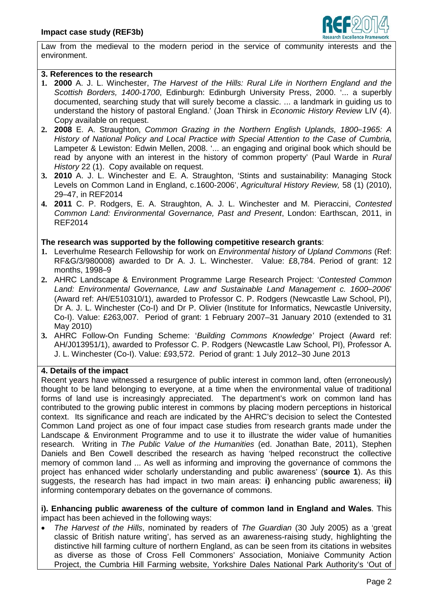

Law from the medieval to the modern period in the service of community interests and the environment.

### **3. References to the research**

- **1. 2000** A. J. L. Winchester, *The Harvest of the Hills: Rural Life in Northern England and the Scottish Borders, 1400-1700*, Edinburgh: Edinburgh University Press, 2000. '... a superbly documented, searching study that will surely become a classic. ... a landmark in guiding us to understand the history of pastoral England.' (Joan Thirsk in *Economic History Review* LIV (4). Copy available on request.
- **2. 2008** E. A. Straughton, *Common Grazing in the Northern English Uplands, 1800*–*1965: A History of National Policy and Local Practice with Special Attention to the Case of Cumbria,*  Lampeter & Lewiston: Edwin Mellen, 2008. '... an engaging and original book which should be read by anyone with an interest in the history of common property' (Paul Warde in *Rural History* 22 (1). Copy available on request.
- **3. 2010** A. J. L. Winchester and E. A. Straughton, 'Stints and sustainability: Managing Stock Levels on Common Land in England, c.1600-2006', *Agricultural History Review,* 58 (1) (2010), 29–47, in REF2014
- **4. 2011** C. P. Rodgers, E. A. Straughton, A. J. L. Winchester and M. Pieraccini, *Contested Common Land: Environmental Governance, Past and Present*, London: Earthscan, 2011, in REF2014

### **The research was supported by the following competitive research grants**:

- **1.** Leverhulme Research Fellowship for work on *Environmental history of Upland Commons* (Ref: RF&G/3/980008) awarded to Dr A. J. L. Winchester. Value: £8,784. Period of grant: 12 months, 1998–9
- **2.** AHRC Landscape & Environment Programme Large Research Project: '*Contested Common Land: Environmental Governance, Law and Sustainable Land Management c. 1600*–*2006*' (Award ref: AH/E510310/1), awarded to Professor C. P. Rodgers (Newcastle Law School, PI), Dr A. J. L. Winchester (Co-I) and Dr P. Olivier (Institute for Informatics, Newcastle University, Co-I). Value: £263,007. Period of grant: 1 February 2007–31 January 2010 (extended to 31 May 2010)
- **3.** AHRC Follow-On Funding Scheme: '*Building Commons Knowledge'* Project (Award ref: AH/J013951/1), awarded to Professor C. P. Rodgers (Newcastle Law School, PI), Professor A. J. L. Winchester (Co-I). Value: £93,572. Period of grant: 1 July 2012–30 June 2013

# **4. Details of the impact**

Recent years have witnessed a resurgence of public interest in common land, often (erroneously) thought to be land belonging to everyone, at a time when the environmental value of traditional forms of land use is increasingly appreciated. The department's work on common land has contributed to the growing public interest in commons by placing modern perceptions in historical context. Its significance and reach are indicated by the AHRC's decision to select the Contested Common Land project as one of four impact case studies from research grants made under the Landscape & Environment Programme and to use it to illustrate the wider value of humanities research. Writing in *The Public Value of the Humanities* (ed. Jonathan Bate, 2011), Stephen Daniels and Ben Cowell described the research as having 'helped reconstruct the collective memory of common land ... As well as informing and improving the governance of commons the project has enhanced wider scholarly understanding and public awareness' (**source 1**). As this suggests, the research has had impact in two main areas: **i)** enhancing public awareness; **ii)** informing contemporary debates on the governance of commons.

**i). Enhancing public awareness of the culture of common land in England and Wales**. This impact has been achieved in the following ways:

• *The Harvest of the Hills*, nominated by readers of *The Guardian* (30 July 2005) as a 'great classic of British nature writing', has served as an awareness-raising study, highlighting the distinctive hill farming culture of northern England, as can be seen from its citations in websites as diverse as those of Cross Fell Commoners' Association, Moniaive Community Action Project, the Cumbria Hill Farming website, Yorkshire Dales National Park Authority's 'Out of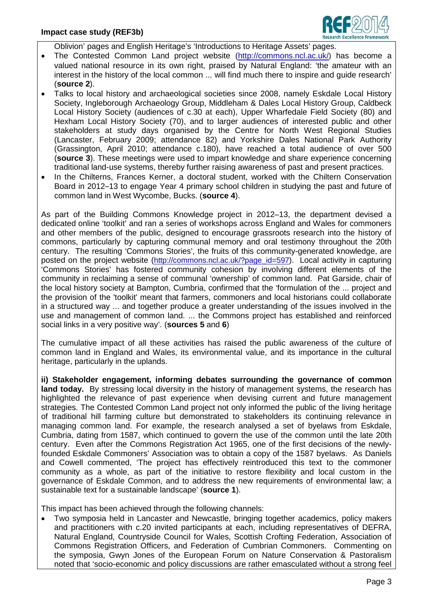

Oblivion' pages and English Heritage's 'Introductions to Heritage Assets' pages.

- The Contested Common Land project website [\(http://commons.ncl.ac.uk/](http://commons.ncl.ac.uk/)) has become a valued national resource in its own right, praised by Natural England: 'the amateur with an interest in the history of the local common ... will find much there to inspire and guide research' (**source 2**).
- Talks to local history and archaeological societies since 2008, namely Eskdale Local History Society, Ingleborough Archaeology Group, Middleham & Dales Local History Group, Caldbeck Local History Society (audiences of c.30 at each), Upper Wharfedale Field Society (80) and Hexham Local History Society (70), and to larger audiences of interested public and other stakeholders at study days organised by the Centre for North West Regional Studies (Lancaster, February 2009; attendance 82) and Yorkshire Dales National Park Authority (Grassington, April 2010; attendance c.180), have reached a total audience of over 500 (**source 3**). These meetings were used to impart knowledge and share experience concerning traditional land-use systems, thereby further raising awareness of past and present practices.
- In the Chilterns, Frances Kerner, a doctoral student, worked with the Chiltern Conservation Board in 2012–13 to engage Year 4 primary school children in studying the past and future of common land in West Wycombe, Bucks. (**source 4**).

As part of the Building Commons Knowledge project in 2012–13, the department devised a dedicated online 'toolkit' and ran a series of workshops across England and Wales for commoners and other members of the public, designed to encourage grassroots research into the history of commons, particularly by capturing communal memory and oral testimony throughout the 20th century. The resulting 'Commons Stories', the fruits of this community-generated knowledge, are posted on the project website (http://commons.ncl.ac.uk/?page id=597). Local activity in capturing 'Commons Stories' has fostered community cohesion by involving different elements of the community in reclaiming a sense of communal 'ownership' of common land. Pat Garside, chair of the local history society at Bampton, Cumbria, confirmed that the 'formulation of the ... project and the provision of the 'toolkit' meant that farmers, commoners and local historians could collaborate in a structured way ... and together produce a greater understanding of the issues involved in the use and management of common land. ... the Commons project has established and reinforced social links in a very positive way'. (**sources 5** and **6**)

The cumulative impact of all these activities has raised the public awareness of the culture of common land in England and Wales, its environmental value, and its importance in the cultural heritage, particularly in the uplands.

**ii) Stakeholder engagement, informing debates surrounding the governance of common land today.** By stressing local diversity in the history of management systems, the research has highlighted the relevance of past experience when devising current and future management strategies. The Contested Common Land project not only informed the public of the living heritage of traditional hill farming culture but demonstrated to stakeholders its continuing relevance in managing common land. For example, the research analysed a set of byelaws from Eskdale, Cumbria, dating from 1587, which continued to govern the use of the common until the late 20th century. Even after the Commons Registration Act 1965, one of the first decisions of the newlyfounded Eskdale Commoners' Association was to obtain a copy of the 1587 byelaws. As Daniels and Cowell commented, 'The project has effectively reintroduced this text to the commoner community as a whole, as part of the initiative to restore flexibility and local custom in the governance of Eskdale Common, and to address the new requirements of environmental law; a sustainable text for a sustainable landscape' (**source 1**).

This impact has been achieved through the following channels:

• Two symposia held in Lancaster and Newcastle, bringing together academics, policy makers and practitioners with c.20 invited participants at each, including representatives of DEFRA, Natural England, Countryside Council for Wales, Scottish Crofting Federation, Association of Commons Registration Officers, and Federation of Cumbrian Commoners. Commenting on the symposia, Gwyn Jones of the European Forum on Nature Conservation & Pastoralism noted that 'socio-economic and policy discussions are rather emasculated without a strong feel